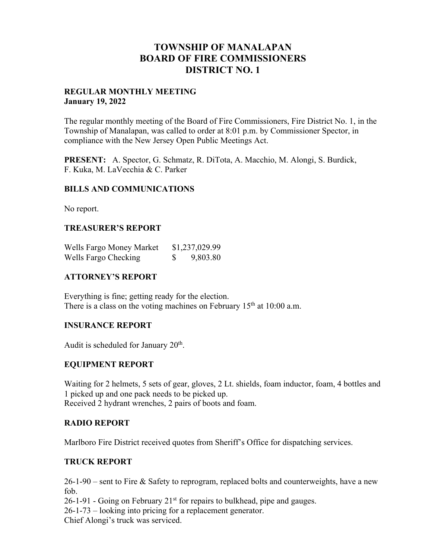# **TOWNSHIP OF MANALAPAN BOARD OF FIRE COMMISSIONERS DISTRICT NO. 1**

#### **REGULAR MONTHLY MEETING January 19, 2022**

The regular monthly meeting of the Board of Fire Commissioners, Fire District No. 1, in the Township of Manalapan, was called to order at 8:01 p.m. by Commissioner Spector, in compliance with the New Jersey Open Public Meetings Act.

**PRESENT:** A. Spector, G. Schmatz, R. DiTota, A. Macchio, M. Alongi, S. Burdick, F. Kuka, M. LaVecchia & C. Parker

## **BILLS AND COMMUNICATIONS**

No report.

## **TREASURER'S REPORT**

| Wells Fargo Money Market | \$1,237,029.99 |
|--------------------------|----------------|
| Wells Fargo Checking     | 9,803.80       |

## **ATTORNEY'S REPORT**

Everything is fine; getting ready for the election. There is a class on the voting machines on February  $15<sup>th</sup>$  at 10:00 a.m.

## **INSURANCE REPORT**

Audit is scheduled for January 20<sup>th</sup>.

## **EQUIPMENT REPORT**

Waiting for 2 helmets, 5 sets of gear, gloves, 2 Lt. shields, foam inductor, foam, 4 bottles and 1 picked up and one pack needs to be picked up. Received 2 hydrant wrenches, 2 pairs of boots and foam.

## **RADIO REPORT**

Marlboro Fire District received quotes from Sheriff's Office for dispatching services.

## **TRUCK REPORT**

26-1-90 – sent to Fire & Safety to reprogram, replaced bolts and counterweights, have a new fob.

 $26-1-91$  - Going on February  $21<sup>st</sup>$  for repairs to bulkhead, pipe and gauges.

26-1-73 – looking into pricing for a replacement generator.

Chief Alongi's truck was serviced.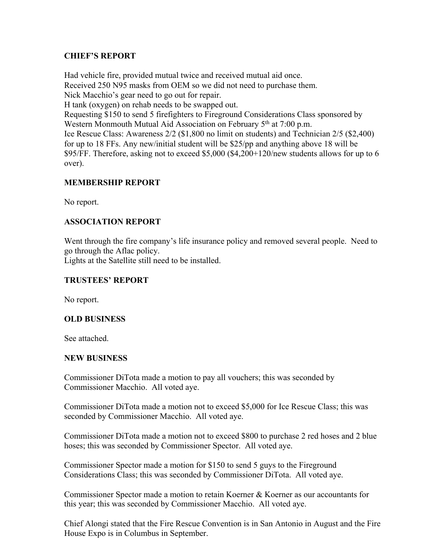## **CHIEF'S REPORT**

Had vehicle fire, provided mutual twice and received mutual aid once. Received 250 N95 masks from OEM so we did not need to purchase them. Nick Macchio's gear need to go out for repair. H tank (oxygen) on rehab needs to be swapped out. Requesting \$150 to send 5 firefighters to Fireground Considerations Class sponsored by Western Monmouth Mutual Aid Association on February 5<sup>th</sup> at 7:00 p.m. Ice Rescue Class: Awareness 2/2 (\$1,800 no limit on students) and Technician 2/5 (\$2,400) for up to 18 FFs. Any new/initial student will be \$25/pp and anything above 18 will be \$95/FF. Therefore, asking not to exceed \$5,000 (\$4,200+120/new students allows for up to 6 over).

## **MEMBERSHIP REPORT**

No report.

## **ASSOCIATION REPORT**

Went through the fire company's life insurance policy and removed several people. Need to go through the Aflac policy.

Lights at the Satellite still need to be installed.

## **TRUSTEES' REPORT**

No report.

## **OLD BUSINESS**

See attached.

## **NEW BUSINESS**

Commissioner DiTota made a motion to pay all vouchers; this was seconded by Commissioner Macchio. All voted aye.

Commissioner DiTota made a motion not to exceed \$5,000 for Ice Rescue Class; this was seconded by Commissioner Macchio. All voted aye.

Commissioner DiTota made a motion not to exceed \$800 to purchase 2 red hoses and 2 blue hoses; this was seconded by Commissioner Spector. All voted aye.

Commissioner Spector made a motion for \$150 to send 5 guys to the Fireground Considerations Class; this was seconded by Commissioner DiTota. All voted aye.

Commissioner Spector made a motion to retain Koerner & Koerner as our accountants for this year; this was seconded by Commissioner Macchio. All voted aye.

Chief Alongi stated that the Fire Rescue Convention is in San Antonio in August and the Fire House Expo is in Columbus in September.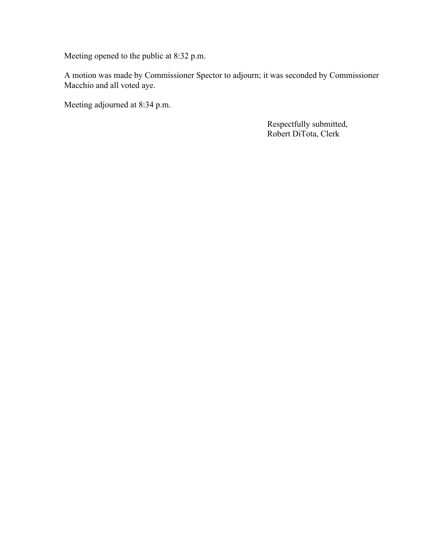Meeting opened to the public at 8:32 p.m.

A motion was made by Commissioner Spector to adjourn; it was seconded by Commissioner Macchio and all voted aye.

Meeting adjourned at 8:34 p.m.

 Respectfully submitted, Robert DiTota, Clerk